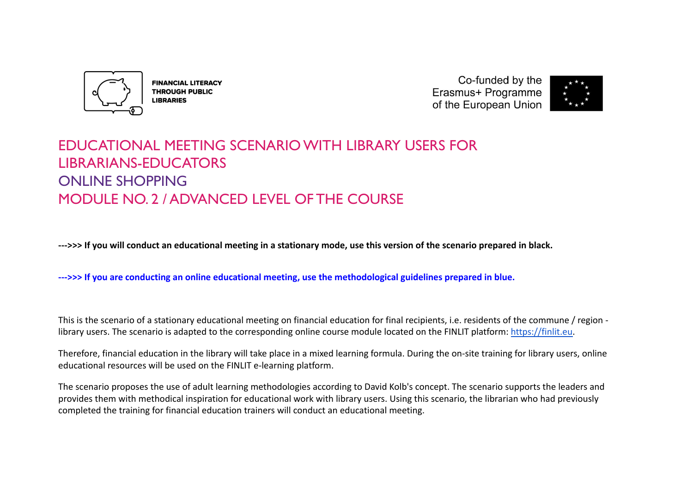

**FINANCIAL LITERACY THROUGH PUBLIC LIBRARIES** 

Co-funded by the Erasmus+ Programme of the European Union



# EDUCATIONAL MEETING SCENARIO WITH LIBRARY USERS FOR LIBRARIANS-EDUCATORS ONLINE SHOPPING MODULE NO. 2 / ADVANCED LEVEL OF THE COURSE

**--->>> If you will conduct an educational meeting in a stationary mode, use this version of the scenario prepared in black.**

**--->>> If you are conducting an online educational meeting, use the methodological guidelines prepared in blue.**

This is the scenario of a stationary educational meeting on financial education for final recipients, i.e. residents of the commune / region library users. The scenario is adapted to the corresponding online course module located on the FINLIT platform: [https://finlit.eu.](https://finlit.eu)

Therefore, financial education in the library will take place in a mixed learning formula. During the on-site training for library users, online educational resources will be used on the FINLIT e-learning platform.

The scenario proposes the use of adult learning methodologies according to David Kolb's concept. The scenario supports the leaders and provides them with methodical inspiration for educational work with library users. Using this scenario, the librarian who had previously completed the training for financial education trainers will conduct an educational meeting.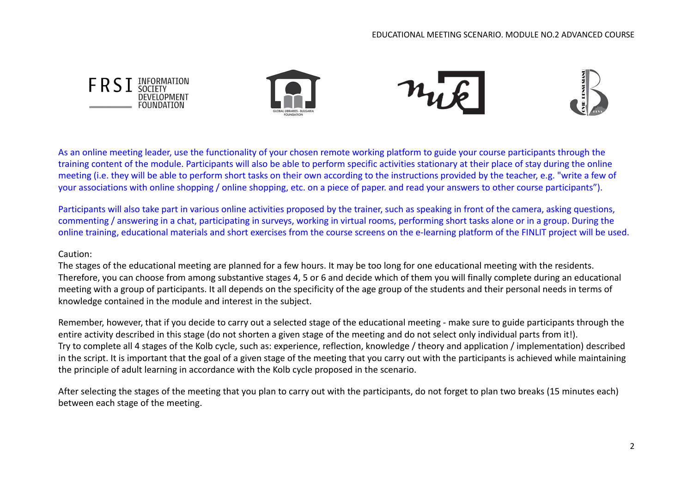

As an online meeting leader, use the functionality of your chosen remote working platform to guide your course participants through the training content of the module. Participants will also be able to perform specific activities stationary at their place of stay during the online meeting (i.e. they will be able to perform short tasks on their own according to the instructions provided by the teacher, e.g. "write a few of your associations with online shopping / online shopping, etc. on a piece of paper. and read your answers to other course participants").

Participants will also take part in various online activities proposed by the trainer, such as speaking in front of the camera, asking questions, commenting / answering in a chat, participating in surveys, working in virtual rooms, performing short tasks alone or in a group. During the online training, educational materials and short exercises from the course screens on the e-learning platform of the FINLIT project will be used.

# Caution:

The stages of the educational meeting are planned for a few hours. It may be too long for one educational meeting with the residents. Therefore, you can choose from among substantive stages 4, 5 or 6 and decide which of them you will finally complete during an educational meeting with a group of participants. It all depends on the specificity of the age group of the students and their personal needs in terms of knowledge contained in the module and interest in the subject.

Remember, however, that if you decide to carry out a selected stage of the educational meeting - make sure to guide participants through the entire activity described in this stage (do not shorten a given stage of the meeting and do not select only individual parts from it!). Try to complete all 4 stages of the Kolb cycle, such as: experience, reflection, knowledge / theory and application / implementation) described in the script. It is important that the goal of a given stage of the meeting that you carry out with the participants is achieved while maintaining the principle of adult learning in accordance with the Kolb cycle proposed in the scenario.

After selecting the stages of the meeting that you plan to carry out with the participants, do not forget to plan two breaks (15 minutes each) between each stage of the meeting.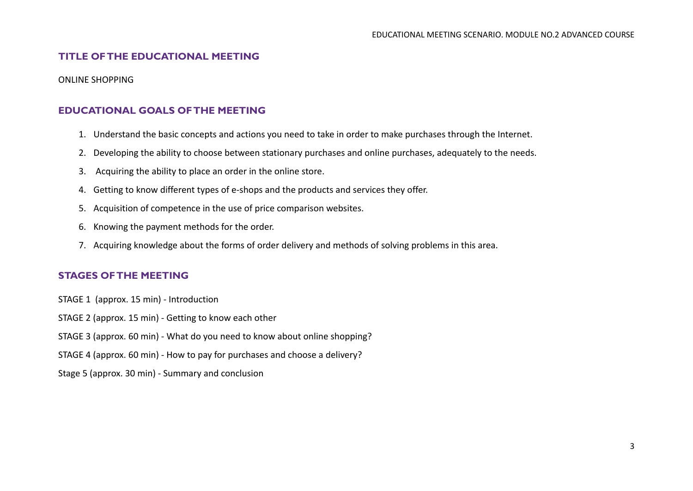# **TITLE OF THE EDUCATIONAL MEETING**

ONLINE SHOPPING

# **EDUCATIONAL GOALS OF THE MEETING**

- 1. Understand the basic concepts and actions you need to take in order to make purchases through the Internet.
- 2. Developing the ability to choose between stationary purchases and online purchases, adequately to the needs.
- 3. Acquiring the ability to place an order in the online store.
- 4. Getting to know different types of e-shops and the products and services they offer.
- 5. Acquisition of competence in the use of price comparison websites.
- 6. Knowing the payment methods for the order.
- 7. Acquiring knowledge about the forms of order delivery and methods of solving problems in this area.

# **STAGES OF THE MEETING**

STAGE 1 (approx. 15 min) - Introduction

STAGE 2 (approx. 15 min) - Getting to know each other

STAGE 3 (approx. 60 min) - What do you need to know about online shopping?

STAGE 4 (approx. 60 min) - How to pay for purchases and choose a delivery?

Stage 5 (approx. 30 min) - Summary and conclusion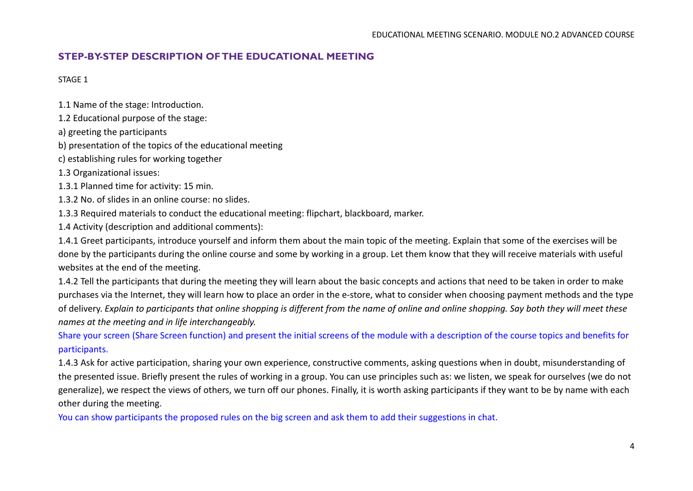# **STEP-BY-STEP DESCRIPTION OF THE EDUCATIONAL MEETING**

STAGE 1

1.1 Name of the stage: Introduction.

1.2 Educational purpose of the stage:

a) greeting the participants

b) presentation of the topics of the educational meeting

c) establishing rules for working together

1.3 Organizational issues:

1.3.1 Planned time for activity: 15 min.

1.3.2 No. of slides in an online course: no slides.

1.3.3 Required materials to conduct the educational meeting: flipchart, blackboard, marker.

1.4 Activity (description and additional comments):

1.4.1 Greet participants, introduce yourself and inform them about the main topic of the meeting. Explain that some of the exercises will be done by the participants during the online course and some by working in a group. Let them know that they will receive materials with useful websites at the end of the meeting.

1.4.2 Tell the participants that during the meeting they will learn about the basic concepts and actions that need to be taken in order to make purchases via the Internet, they will learn how to place an order in the e-store, what to consider when choosing payment methods and the type of delivery. *Explain to participants that online shopping is different from the name of online and online shopping. Say both they will meet these names at the meeting and in life interchangeably.*

Share your screen (Share Screen function) and present the initial screens of the module with a description of the course topics and benefits for participants.

1.4.3 Ask for active participation, sharing your own experience, constructive comments, asking questions when in doubt, misunderstanding of the presented issue. Briefly present the rules of working in a group. You can use principles such as: we listen, we speak for ourselves (we do not generalize), we respect the views of others, we turn off our phones. Finally, it is worth asking participants if they want to be by name with each other during the meeting.

You can show participants the proposed rules on the big screen and ask them to add their suggestions in chat.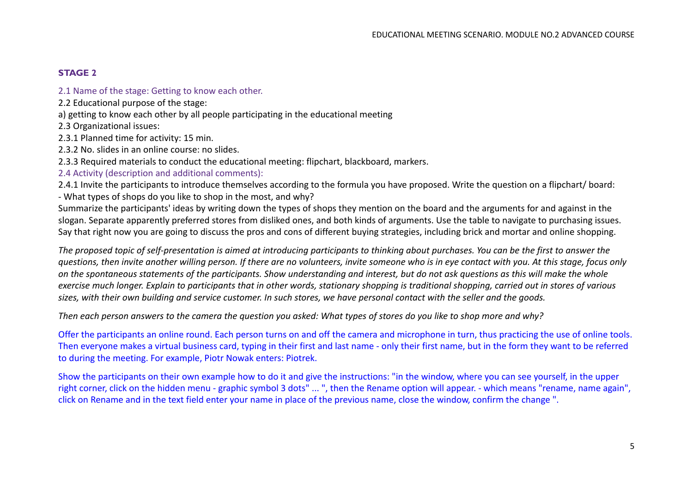## **STAGE 2**

2.1 Name of the stage: Getting to know each other.

2.2 Educational purpose of the stage:

a) getting to know each other by all people participating in the educational meeting

2.3 Organizational issues:

2.3.1 Planned time for activity: 15 min.

2.3.2 No. slides in an online course: no slides.

2.3.3 Required materials to conduct the educational meeting: flipchart, blackboard, markers.

2.4 Activity (description and additional comments):

2.4.1 Invite the participants to introduce themselves according to the formula you have proposed. Write the question on a flipchart/ board: - What types of shops do you like to shop in the most, and why?

Summarize the participants' ideas by writing down the types of shops they mention on the board and the arguments for and against in the slogan. Separate apparently preferred stores from disliked ones, and both kinds of arguments. Use the table to navigate to purchasing issues. Say that right now you are going to discuss the pros and cons of different buying strategies, including brick and mortar and online shopping.

*The proposed topic of self-presentation is aimed at introducing participants to thinking about purchases. You can be the first to answer the questions, then invite another willing person. If there are no volunteers, invite someone who is in eye contact with you. At this stage, focus only on the spontaneous statements of the participants. Show understanding and interest, but do not ask questions as this will make the whole exercise much longer. Explain to participants that in other words, stationary shopping is traditional shopping, carried out in stores of various sizes, with their own building and service customer. In such stores, we have personal contact with the seller and the goods.*

*Then each person answers to the camera the question you asked: What types of stores do you like to shop more and why?*

Offer the participants an online round. Each person turns on and off the camera and microphone in turn, thus practicing the use of online tools. Then everyone makes a virtual business card, typing in their first and last name - only their first name, but in the form they want to be referred to during the meeting. For example, Piotr Nowak enters: Piotrek.

Show the participants on their own example how to do it and give the instructions: "in the window, where you can see yourself, in the upper right corner, click on the hidden menu - graphic symbol 3 dots" ... ", then the Rename option will appear. - which means "rename, name again", click on Rename and in the text field enter your name in place of the previous name, close the window, confirm the change ".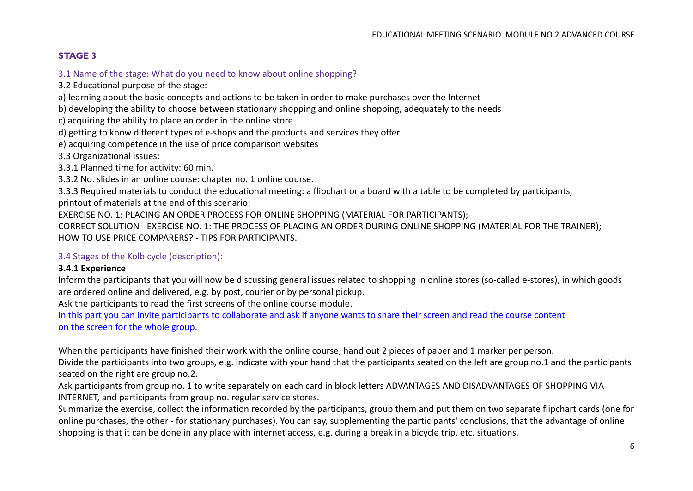# **STAGE 3**

3.1 Name of the stage: What do you need to know about online shopping?

3.2 Educational purpose of the stage:

a) learning about the basic concepts and actions to be taken in order to make purchases over the Internet

b) developing the ability to choose between stationary shopping and online shopping, adequately to the needs

c) acquiring the ability to place an order in the online store

d) getting to know different types of e-shops and the products and services they offer

e) acquiring competence in the use of price comparison websites

3.3 Organizational issues:

3.3.1 Planned time for activity: 60 min.

3.3.2 No. slides in an online course: chapter no. 1 online course.

3.3.3 Required materials to conduct the educational meeting: a flipchart or a board with a table to be completed by participants, printout of materials at the end of this scenario:

EXERCISE NO. 1: PLACING AN ORDER PROCESS FOR ONLINE SHOPPING (MATERIAL FOR PARTICIPANTS);

CORRECT SOLUTION - EXERCISE NO. 1: THE PROCESS OF PLACING AN ORDER DURING ONLINE SHOPPING (MATERIAL FOR THE TRAINER); HOW TO USE PRICE COMPARERS? - TIPS FOR PARTICIPANTS.

# 3.4 Stages of the Kolb cycle (description):

# **3.4.1 Experience**

Inform the participants that you will now be discussing general issues related to shopping in online stores (so-called e-stores), in which goods are ordered online and delivered, e.g. by post, courier or by personal pickup.

Ask the participants to read the first screens of the online course module.

In this part you can invite participants to collaborate and ask if anyone wants to share their screen and read the course content on the screen for the whole group.

When the participants have finished their work with the online course, hand out 2 pieces of paper and 1 marker per person.

Divide the participants into two groups, e.g. indicate with your hand that the participants seated on the left are group no.1 and the participants seated on the right are group no.2.

Ask participants from group no. 1 to write separately on each card in block letters ADVANTAGES AND DISADVANTAGES OF SHOPPING VIA INTERNET, and participants from group no. regular service stores.

Summarize the exercise, collect the information recorded by the participants, group them and put them on two separate flipchart cards (one for online purchases, the other - for stationary purchases). You can say, supplementing the participants' conclusions, that the advantage of online shopping is that it can be done in any place with internet access, e.g. during a break in a bicycle trip, etc. situations.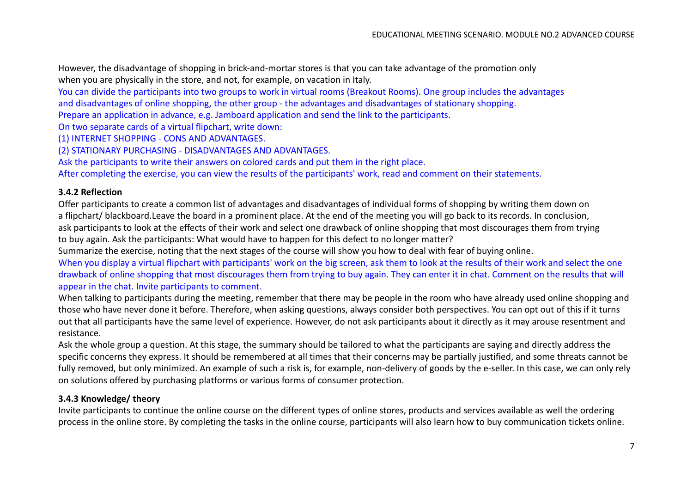However, the disadvantage of shopping in brick-and-mortar stores is that you can take advantage of the promotion only when you are physically in the store, and not, for example, on vacation in Italy.

You can divide the participants into two groups to work in virtual rooms (Breakout Rooms). One group includes the advantages

and disadvantages of online shopping, the other group - the advantages and disadvantages of stationary shopping.

Prepare an application in advance, e.g. Jamboard application and send the link to the participants.

On two separate cards of a virtual flipchart, write down:

(1) INTERNET SHOPPING - CONS AND ADVANTAGES.

(2) STATIONARY PURCHASING - DISADVANTAGES AND ADVANTAGES.

Ask the participants to write their answers on colored cards and put them in the right place.

After completing the exercise, you can view the results of the participants' work, read and comment on their statements.

## **3.4.2 Reflection**

Offer participants to create a common list of advantages and disadvantages of individual forms of shopping by writing them down on a flipchart/ blackboard.Leave the board in a prominent place. At the end of the meeting you will go back to its records. In conclusion, ask participants to look at the effects of their work and select one drawback of online shopping that most discourages them from trying to buy again. Ask the participants: What would have to happen for this defect to no longer matter?

Summarize the exercise, noting that the next stages of the course will show you how to deal with fear of buying online.

When you display a virtual flipchart with participants' work on the big screen, ask them to look at the results of their work and select the one drawback of online shopping that most discourages them from trying to buy again. They can enter it in chat. Comment on the results that will appear in the chat. Invite participants to comment.

When talking to participants during the meeting, remember that there may be people in the room who have already used online shopping and those who have never done it before. Therefore, when asking questions, always consider both perspectives. You can opt out of this if it turns out that all participants have the same level of experience. However, do not ask participants about it directly as it may arouse resentment and resistance.

Ask the whole group a question. At this stage, the summary should be tailored to what the participants are saying and directly address the specific concerns they express. It should be remembered at all times that their concerns may be partially justified, and some threats cannot be fully removed, but only minimized. An example of such a risk is, for example, non-delivery of goods by the e-seller. In this case, we can only rely on solutions offered by purchasing platforms or various forms of consumer protection.

# **3.4.3 Knowledge/ theory**

Invite participants to continue the online course on the different types of online stores, products and services available as well the ordering process in the online store. By completing the tasks in the online course, participants will also learn how to buy communication tickets online.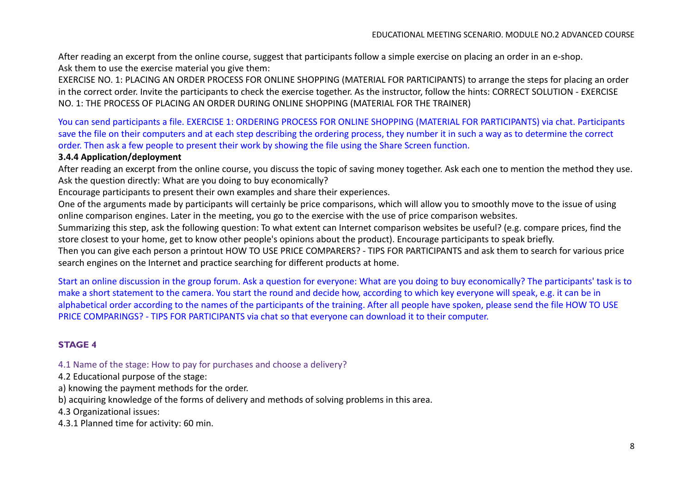After reading an excerpt from the online course, suggest that participants follow a simple exercise on placing an order in an e-shop. Ask them to use the exercise material you give them:

EXERCISE NO. 1: PLACING AN ORDER PROCESS FOR ONLINE SHOPPING (MATERIAL FOR PARTICIPANTS) to arrange the steps for placing an order in the correct order. Invite the participants to check the exercise together. As the instructor, follow the hints: CORRECT SOLUTION - EXERCISE NO. 1: THE PROCESS OF PLACING AN ORDER DURING ONLINE SHOPPING (MATERIAL FOR THE TRAINER)

You can send participants a file. EXERCISE 1: ORDERING PROCESS FOR ONLINE SHOPPING (MATERIAL FOR PARTICIPANTS) via chat. Participants save the file on their computers and at each step describing the ordering process, they number it in such a way as to determine the correct order. Then ask a few people to present their work by showing the file using the Share Screen function.

#### **3.4.4 Application/deployment**

After reading an excerpt from the online course, you discuss the topic of saving money together. Ask each one to mention the method they use. Ask the question directly: What are you doing to buy economically?

Encourage participants to present their own examples and share their experiences.

One of the arguments made by participants will certainly be price comparisons, which will allow you to smoothly move to the issue of using online comparison engines. Later in the meeting, you go to the exercise with the use of price comparison websites.

Summarizing this step, ask the following question: To what extent can Internet comparison websites be useful? (e.g. compare prices, find the store closest to your home, get to know other people's opinions about the product). Encourage participants to speak briefly.

Then you can give each person a printout HOW TO USE PRICE COMPARERS? - TIPS FOR PARTICIPANTS and ask them to search for various price search engines on the Internet and practice searching for different products at home.

Start an online discussion in the group forum. Ask a question for everyone: What are you doing to buy economically? The participants' task is to make a short statement to the camera. You start the round and decide how, according to which key everyone will speak, e.g. it can be in alphabetical order according to the names of the participants of the training. After all people have spoken, please send the file HOW TO USE PRICE COMPARINGS? - TIPS FOR PARTICIPANTS via chat so that everyone can download it to their computer.

# **STAGE 4**

4.1 Name of the stage: How to pay for purchases and choose a delivery?

4.2 Educational purpose of the stage:

a) knowing the payment methods for the order.

b) acquiring knowledge of the forms of delivery and methods of solving problems in this area.

4.3 Organizational issues:

4.3.1 Planned time for activity: 60 min.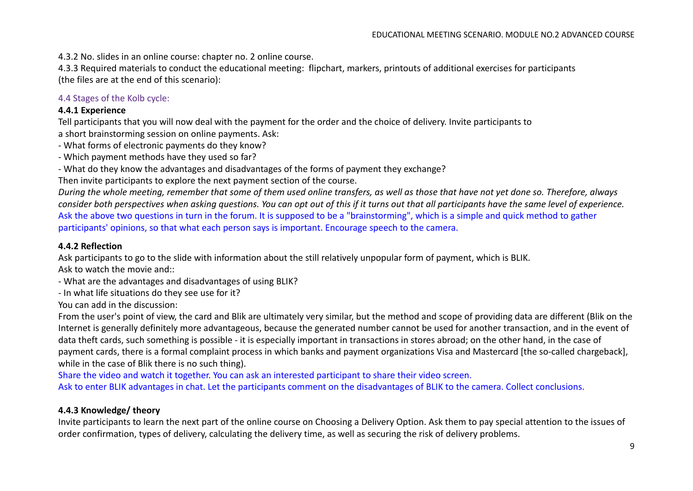4.3.2 No. slides in an online course: chapter no. 2 online course.

4.3.3 Required materials to conduct the educational meeting: flipchart, markers, printouts of additional exercises for participants (the files are at the end of this scenario):

4.4 Stages of the Kolb cycle:

#### **4.4.1 Experience**

Tell participants that you will now deal with the payment for the order and the choice of delivery. Invite participants to a short brainstorming session on online payments. Ask:

- What forms of electronic payments do they know?

- Which payment methods have they used so far?
- What do they know the advantages and disadvantages of the forms of payment they exchange?

Then invite participants to explore the next payment section of the course.

*During the whole meeting, remember that some of them used online transfers, as well as those that have not yet done so. Therefore, always consider both perspectives when asking questions. You can opt out of this if it turns out that all participants have the same level of experience.* Ask the above two questions in turn in the forum. It is supposed to be a "brainstorming", which is a simple and quick method to gather participants' opinions, so that what each person says is important. Encourage speech to the camera.

#### **4.4.2 Reflection**

Ask participants to go to the slide with information about the still relatively unpopular form of payment, which is BLIK. Ask to watch the movie and::

- What are the advantages and disadvantages of using BLIK?

- In what life situations do they see use for it?

You can add in the discussion:

From the user's point of view, the card and Blik are ultimately very similar, but the method and scope of providing data are different (Blik on the Internet is generally definitely more advantageous, because the generated number cannot be used for another transaction, and in the event of data theft cards, such something is possible - it is especially important in transactions in stores abroad; on the other hand, in the case of payment cards, there is a formal complaint process in which banks and payment organizations Visa and Mastercard [the so-called chargeback], while in the case of Blik there is no such thing).

Share the video and watch it together. You can ask an interested participant to share their video screen.

Ask to enter BLIK advantages in chat. Let the participants comment on the disadvantages of BLIK to the camera. Collect conclusions.

#### **4.4.3 Knowledge/ theory**

Invite participants to learn the next part of the online course on Choosing a Delivery Option. Ask them to pay special attention to the issues of order confirmation, types of delivery, calculating the delivery time, as well as securing the risk of delivery problems.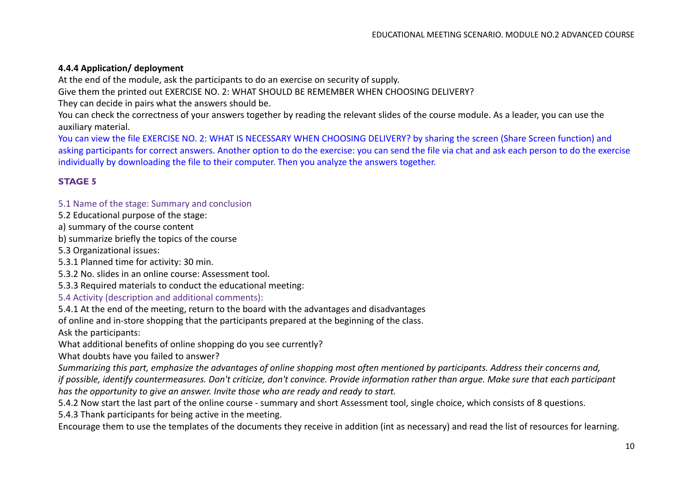## **4.4.4 Application/ deployment**

At the end of the module, ask the participants to do an exercise on security of supply.

Give them the printed out EXERCISE NO. 2: WHAT SHOULD BE REMEMBER WHEN CHOOSING DELIVERY?

They can decide in pairs what the answers should be.

You can check the correctness of your answers together by reading the relevant slides of the course module. As a leader, you can use the auxiliary material.

You can view the file EXERCISE NO. 2: WHAT IS NECESSARY WHEN CHOOSING DELIVERY? by sharing the screen (Share Screen function) and asking participants for correct answers. Another option to do the exercise: you can send the file via chat and ask each person to do the exercise individually by downloading the file to their computer. Then you analyze the answers together.

## **STAGE 5**

#### 5.1 Name of the stage: Summary and conclusion

5.2 Educational purpose of the stage:

a) summary of the course content

b) summarize briefly the topics of the course

5.3 Organizational issues:

5.3.1 Planned time for activity: 30 min.

5.3.2 No. slides in an online course: Assessment tool.

5.3.3 Required materials to conduct the educational meeting:

#### 5.4 Activity (description and additional comments):

5.4.1 At the end of the meeting, return to the board with the advantages and disadvantages

of online and in-store shopping that the participants prepared at the beginning of the class.

Ask the participants:

What additional benefits of online shopping do you see currently?

What doubts have you failed to answer?

*Summarizing this part, emphasize the advantages of online shopping most often mentioned by participants. Address their concerns and,*

*if possible, identify countermeasures. Don't criticize, don't convince. Provide information rather than argue. Make sure that each participant has the opportunity to give an answer. Invite those who are ready and ready to start.*

5.4.2 Now start the last part of the online course - summary and short Assessment tool, single choice, which consists of 8 questions.

5.4.3 Thank participants for being active in the meeting.

Encourage them to use the templates of the documents they receive in addition (int as necessary) and read the list of resources for learning.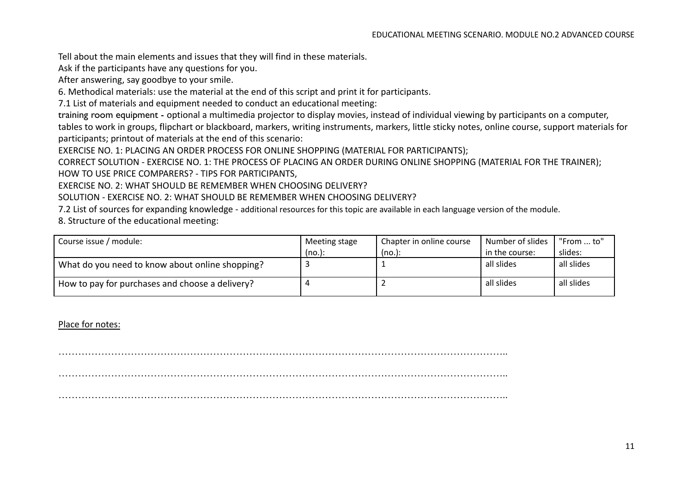Tell about the main elements and issues that they will find in these materials.

Ask if the participants have any questions for you.

After answering, say goodbye to your smile.

6. Methodical materials: use the material at the end of this script and print it for participants.

7.1 List of materials and equipment needed to conduct an educational meeting:

training room equipment - optional a multimedia projector to display movies, instead of individual viewing by participants on a computer, tables to work in groups, flipchart or blackboard, markers, writing instruments, markers, little sticky notes, online course, support materials for participants; printout of materials at the end of this scenario:

EXERCISE NO. 1: PLACING AN ORDER PROCESS FOR ONLINE SHOPPING (MATERIAL FOR PARTICIPANTS);

CORRECT SOLUTION - EXERCISE NO. 1: THE PROCESS OF PLACING AN ORDER DURING ONLINE SHOPPING (MATERIAL FOR THE TRAINER);

HOW TO USE PRICE COMPARERS? - TIPS FOR PARTICIPANTS,

EXERCISE NO. 2: WHAT SHOULD BE REMEMBER WHEN CHOOSING DELIVERY?

SOLUTION - EXERCISE NO. 2: WHAT SHOULD BE REMEMBER WHEN CHOOSING DELIVERY?

7.2 List of sources for expanding knowledge - additional resources for this topic are available in each language version of the module.

8. Structure of the educational meeting:

| Course issue / module:                          | Meeting stage | Chapter in online course | Number of slides | "From  to" |
|-------------------------------------------------|---------------|--------------------------|------------------|------------|
|                                                 | (no.):        | (no.):                   | in the course:   | slides:    |
| What do you need to know about online shopping? |               |                          | all slides       | all slides |
| How to pay for purchases and choose a delivery? |               |                          | all slides       | all slides |

Place for notes:

……………………………………………………………………………………………………………………….. ……………………………………………………………………………………………………………………….. ………………………………………………………………………………………………………………………..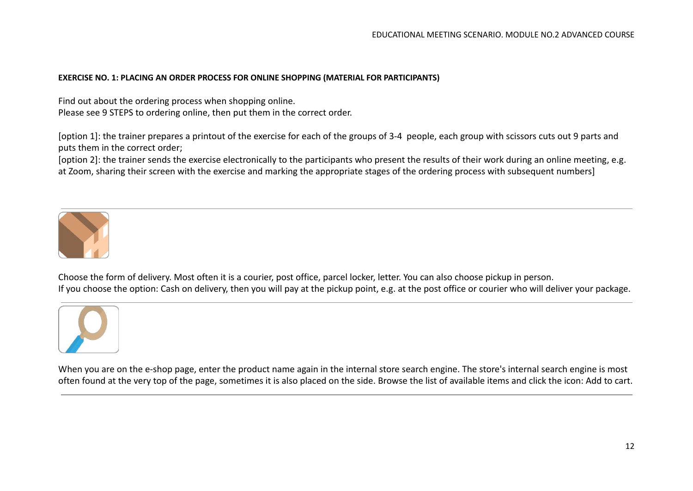#### **EXERCISE NO. 1: PLACING AN ORDER PROCESS FOR ONLINE SHOPPING (MATERIAL FOR PARTICIPANTS)**

Find out about the ordering process when shopping online. Please see 9 STEPS to ordering online, then put them in the correct order.

[option 1]: the trainer prepares a printout of the exercise for each of the groups of 3-4 people, each group with scissors cuts out 9 parts and puts them in the correct order;

[option 2]: the trainer sends the exercise electronically to the participants who present the results of their work during an online meeting, e.g. at Zoom, sharing their screen with the exercise and marking the appropriate stages of the ordering process with subsequent numbers]



Choose the form of delivery. Most often it is a courier, post office, parcel locker, letter. You can also choose pickup in person. If you choose the option: Cash on delivery, then you will pay at the pickup point, e.g. at the post office or courier who will deliver your package.



When you are on the e-shop page, enter the product name again in the internal store search engine. The store's internal search engine is most often found at the very top of the page, sometimes it is also placed on the side. Browse the list of available items and click the icon: Add to cart.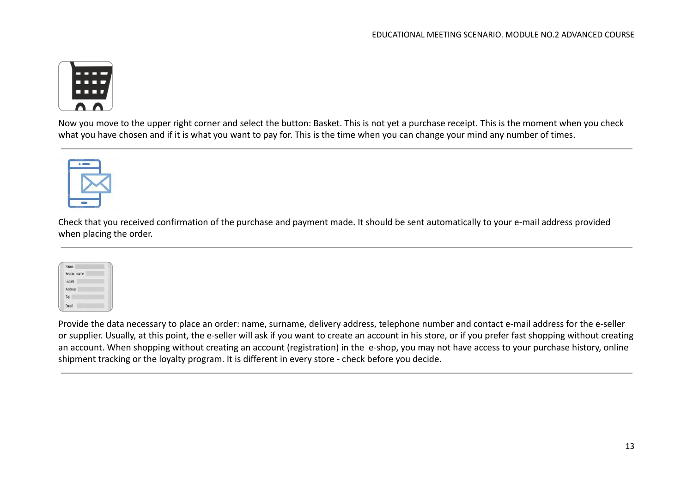

Now you move to the upper right corner and select the button: Basket. This is not yet a purchase receipt. This is the moment when you check what you have chosen and if it is what you want to pay for. This is the time when you can change your mind any number of times.



Check that you received confirmation of the purchase and payment made. It should be sent automatically to your e-mail address provided when placing the order.

|       | Name        |  |
|-------|-------------|--|
|       | Second name |  |
|       | Initials    |  |
|       | Address     |  |
| Tel   |             |  |
| Email |             |  |

Provide the data necessary to place an order: name, surname, delivery address, telephone number and contact e-mail address for the e-seller or supplier. Usually, at this point, the e-seller will ask if you want to create an account in his store, or if you prefer fast shopping without creating an account. When shopping without creating an account (registration) in the e-shop, you may not have access to your purchase history, online shipment tracking or the loyalty program. It is different in every store - check before you decide.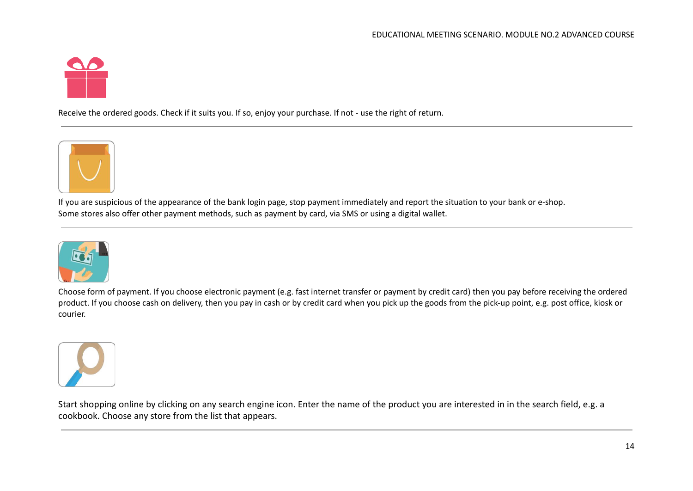

Receive the ordered goods. Check if it suits you. If so, enjoy your purchase. If not - use the right of return.



If you are suspicious of the appearance of the bank login page, stop payment immediately and report the situation to your bank or e-shop. Some stores also offer other payment methods, such as payment by card, via SMS or using a digital wallet.



Choose form of payment. If you choose electronic payment (e.g. fast internet transfer or payment by credit card) then you pay before receiving the ordered product. If you choose cash on delivery, then you pay in cash or by credit card when you pick up the goods from the pick-up point, e.g. post office, kiosk or courier.



Start shopping online by clicking on any search engine icon. Enter the name of the product you are interested in in the search field, e.g. a cookbook. Choose any store from the list that appears.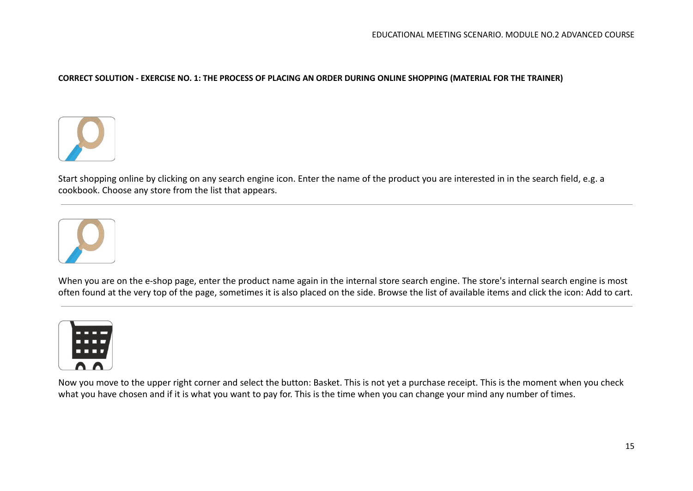#### CORRECT SOLUTION - EXERCISE NO. 1: THE PROCESS OF PLACING AN ORDER DURING ONLINE SHOPPING (MATERIAL FOR THE TRAINER)



Start shopping online by clicking on any search engine icon. Enter the name of the product you are interested in in the search field, e.g. a cookbook. Choose any store from the list that appears.



When you are on the e-shop page, enter the product name again in the internal store search engine. The store's internal search engine is most often found at the very top of the page, sometimes it is also placed on the side. Browse the list of available items and click the icon: Add to cart.



Now you move to the upper right corner and select the button: Basket. This is not yet a purchase receipt. This is the moment when you check what you have chosen and if it is what you want to pay for. This is the time when you can change your mind any number of times.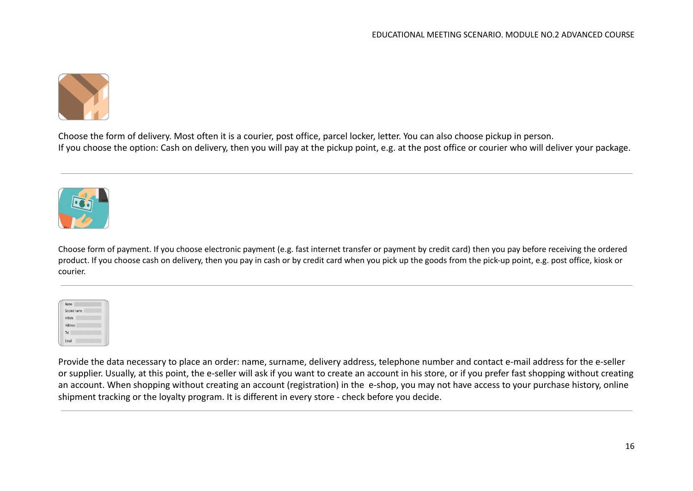

Choose the form of delivery. Most often it is a courier, post office, parcel locker, letter. You can also choose pickup in person. If you choose the option: Cash on delivery, then you will pay at the pickup point, e.g. at the post office or courier who will deliver your package.



Choose form of payment. If you choose electronic payment (e.g. fast internet transfer or payment by credit card) then you pay before receiving the ordered product. If you choose cash on delivery, then you pay in cash or by credit card when you pick up the goods from the pick-up point, e.g. post office, kiosk or courier.

| Name            |
|-----------------|
| Second name     |
| <b>Initials</b> |
| Address         |
| Tel             |
| Email           |

Provide the data necessary to place an order: name, surname, delivery address, telephone number and contact e-mail address for the e-seller or supplier. Usually, at this point, the e-seller will ask if you want to create an account in his store, or if you prefer fast shopping without creating an account. When shopping without creating an account (registration) in the e-shop, you may not have access to your purchase history, online shipment tracking or the loyalty program. It is different in every store - check before you decide.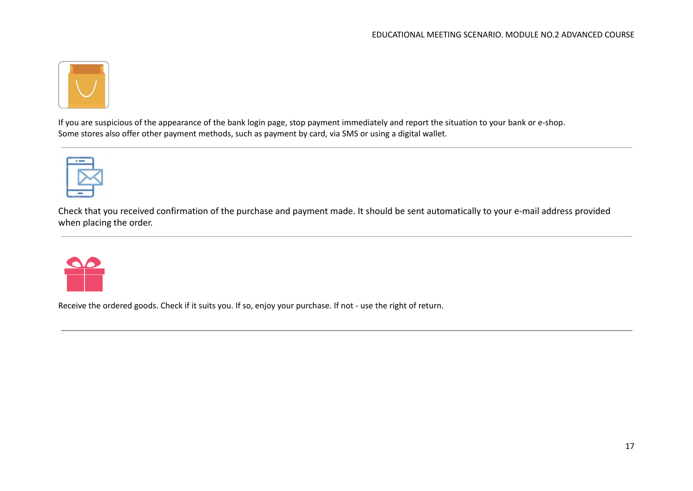

If you are suspicious of the appearance of the bank login page, stop payment immediately and report the situation to your bank or e-shop. Some stores also offer other payment methods, such as payment by card, via SMS or using a digital wallet.



Check that you received confirmation of the purchase and payment made. It should be sent automatically to your e-mail address provided when placing the order.



Receive the ordered goods. Check if it suits you. If so, enjoy your purchase. If not - use the right of return.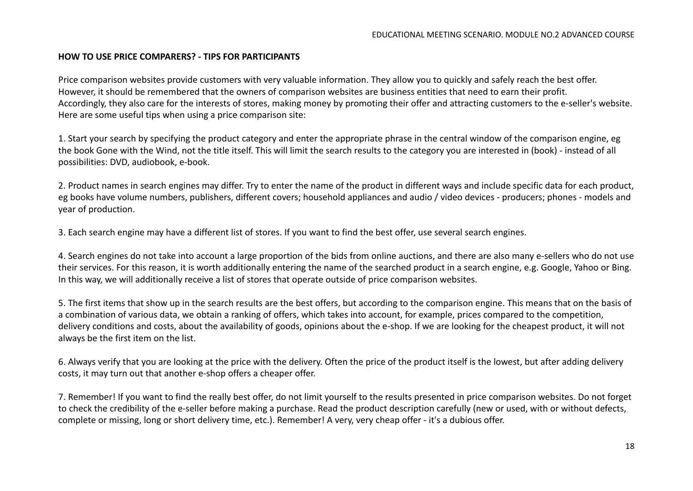#### **HOW TO USE PRICE COMPARERS? - TIPS FOR PARTICIPANTS**

Price comparison websites provide customers with very valuable information. They allow you to quickly and safely reach the best offer. However, it should be remembered that the owners of comparison websites are business entities that need to earn their profit. Accordingly, they also care for the interests of stores, making money by promoting their offer and attracting customers to the e-seller's website. Here are some useful tips when using a price comparison site:

1. Start your search by specifying the product category and enter the appropriate phrase in the central window of the comparison engine, eg the book Gone with the Wind, not the title itself. This will limit the search results to the category you are interested in (book) - instead of all possibilities: DVD, audiobook, e-book.

2. Product names in search engines may differ. Try to enter the name of the product in different ways and include specific data for each product, eg books have volume numbers, publishers, different covers; household appliances and audio / video devices - producers; phones - models and year of production.

3. Each search engine may have a different list of stores. If you want to find the best offer, use several search engines.

4. Search engines do not take into account a large proportion of the bids from online auctions, and there are also many e-sellers who do not use their services. For this reason, it is worth additionally entering the name of the searched product in a search engine, e.g. Google, Yahoo or Bing. In this way, we will additionally receive a list of stores that operate outside of price comparison websites.

5. The first items that show up in the search results are the best offers, but according to the comparison engine. This means that on the basis of a combination of various data, we obtain a ranking of offers, which takes into account, for example, prices compared to the competition, delivery conditions and costs, about the availability of goods, opinions about the e-shop. If we are looking for the cheapest product, it will not always be the first item on the list.

6. Always verify that you are looking at the price with the delivery. Often the price of the product itself is the lowest, but after adding delivery costs, it may turn out that another e-shop offers a cheaper offer.

7. Remember! If you want to find the really best offer, do not limit yourself to the results presented in price comparison websites. Do not forget to check the credibility of the e-seller before making a purchase. Read the product description carefully (new or used, with or without defects, complete or missing, long or short delivery time, etc.). Remember! A very, very cheap offer - it's a dubious offer.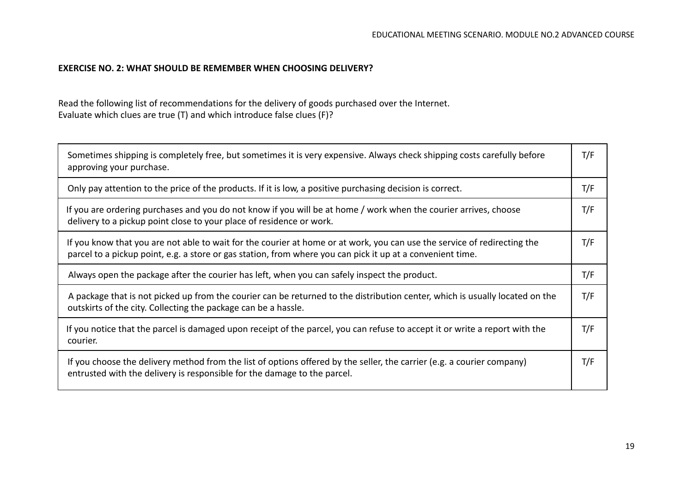#### **EXERCISE NO. 2: WHAT SHOULD BE REMEMBER WHEN CHOOSING DELIVERY?**

Read the following list of recommendations for the delivery of goods purchased over the Internet. Evaluate which clues are true (T) and which introduce false clues (F)?

| Sometimes shipping is completely free, but sometimes it is very expensive. Always check shipping costs carefully before<br>approving your purchase.                                                                                    |     |  |  |
|----------------------------------------------------------------------------------------------------------------------------------------------------------------------------------------------------------------------------------------|-----|--|--|
| Only pay attention to the price of the products. If it is low, a positive purchasing decision is correct.                                                                                                                              | T/F |  |  |
| If you are ordering purchases and you do not know if you will be at home / work when the courier arrives, choose<br>delivery to a pickup point close to your place of residence or work.                                               |     |  |  |
| If you know that you are not able to wait for the courier at home or at work, you can use the service of redirecting the<br>parcel to a pickup point, e.g. a store or gas station, from where you can pick it up at a convenient time. |     |  |  |
| Always open the package after the courier has left, when you can safely inspect the product.                                                                                                                                           |     |  |  |
| A package that is not picked up from the courier can be returned to the distribution center, which is usually located on the<br>outskirts of the city. Collecting the package can be a hassle.                                         |     |  |  |
| If you notice that the parcel is damaged upon receipt of the parcel, you can refuse to accept it or write a report with the<br>courier.                                                                                                |     |  |  |
| If you choose the delivery method from the list of options offered by the seller, the carrier (e.g. a courier company)<br>entrusted with the delivery is responsible for the damage to the parcel.                                     | T/F |  |  |